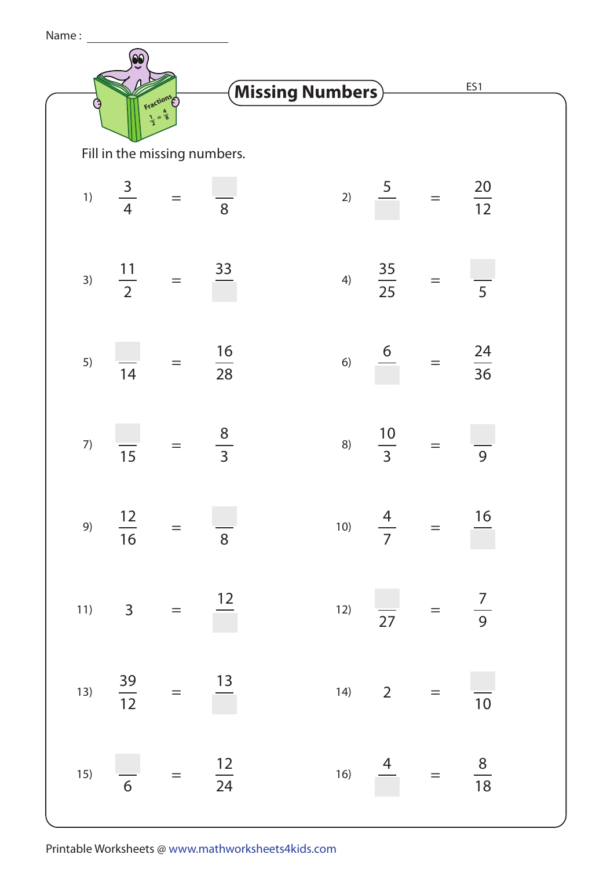| Name: |    |                                                   |                   |                                    |    |                                     |     |                 |  |
|-------|----|---------------------------------------------------|-------------------|------------------------------------|----|-------------------------------------|-----|-----------------|--|
|       |    | <b>Fractions</b>                                  |                   | $\hat{}$ Missing Numbers $\rangle$ |    |                                     |     | ES1             |  |
|       |    | $=$ $\frac{4}{8}$<br>Fill in the missing numbers. |                   |                                    |    |                                     |     |                 |  |
|       | 1) | $\frac{3}{4}$                                     |                   | 8                                  | 2) |                                     | $=$ | $\frac{20}{12}$ |  |
|       | 3) | $\frac{11}{2}$                                    | $\!\!\!=\!\!\!\!$ | 33                                 | 4) | $\frac{35}{25}$                     | $=$ | 5               |  |
|       | 5) | 14                                                |                   | $\frac{16}{28}$                    | 6) | $6\overline{6}$                     |     | $\frac{24}{36}$ |  |
|       | 7) | $\overline{15}$                                   | $=$               | $\frac{8}{3}$                      | 8) | $\frac{10}{3}$                      | $=$ | 9               |  |
|       |    | 9) $\frac{12}{16}$ = $\frac{1}{8}$                |                   |                                    |    | 10) $\frac{4}{7}$ = $\frac{16}{7}$  |     |                 |  |
|       |    | 11) $3 = \frac{12}{ }$                            |                   |                                    |    | 12) $\frac{1}{27} = \frac{7}{9}$    |     |                 |  |
|       |    | 13) $\frac{39}{12}$ = $\frac{13}{1}$              |                   |                                    |    | 14) 2 = $\frac{1}{10}$              |     |                 |  |
|       |    | 15) $\frac{1}{6} = \frac{12}{24}$                 |                   |                                    |    | 16) $\frac{4}{18}$ = $\frac{8}{18}$ |     |                 |  |

Printable Worksheets @ www.mathworksheets4kids.com